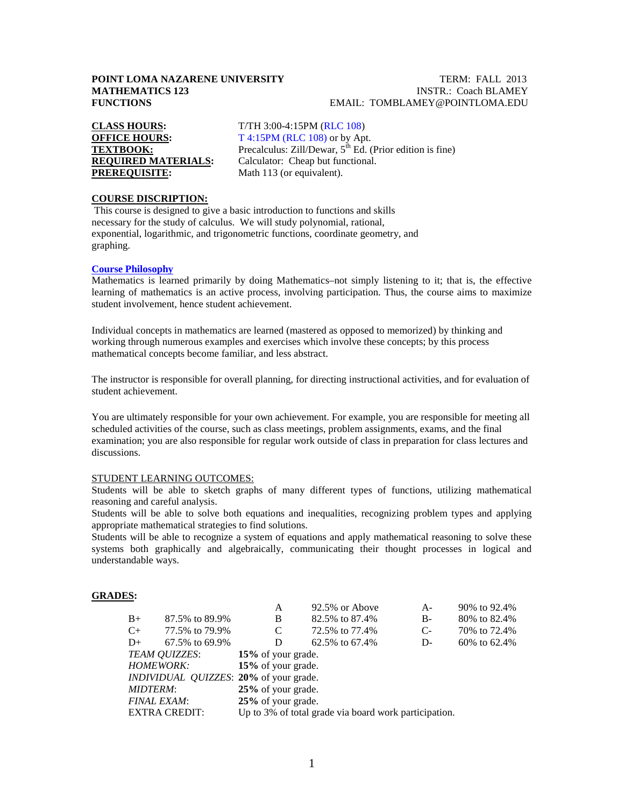### **POINT LOMA NAZARENE UNIVERSITY TERM: FALL 2013 MATHEMATICS 123** INSTR.: Coach BLAMEY **FUNCTIONS** EMAIL: TOMBLAMEY@POINTLOMA.EDU

**CLASS HOURS:** T/TH 3:00-4:15PM (RLC 108) **PREREQUISITE:** Math 113 (or equivalent).

**OFFICE HOURS:** T 4:15PM (RLC 108) or by Apt.<br>
TEXTBOOK: Precalculus: Zill/Dewar, 5<sup>th</sup> Ed. ( Precalculus: Zill/Dewar, 5<sup>th</sup> Ed. (Prior edition is fine) **REQUIRED MATERIALS:** Calculator: Cheap but functional.

## **COURSE DISCRIPTION:**

This course is designed to give a basic introduction to functions and skills necessary for the study of calculus. We will study polynomial, rational, exponential, logarithmic, and trigonometric functions, coordinate geometry, and graphing.

## **Course Philosophy**

Mathematics is learned primarily by doing Mathematics–not simply listening to it; that is, the effective learning of mathematics is an active process, involving participation. Thus, the course aims to maximize student involvement, hence student achievement.

Individual concepts in mathematics are learned (mastered as opposed to memorized) by thinking and working through numerous examples and exercises which involve these concepts; by this process mathematical concepts become familiar, and less abstract.

The instructor is responsible for overall planning, for directing instructional activities, and for evaluation of student achievement.

You are ultimately responsible for your own achievement. For example, you are responsible for meeting all scheduled activities of the course, such as class meetings, problem assignments, exams, and the final examination; you are also responsible for regular work outside of class in preparation for class lectures and discussions.

#### STUDENT LEARNING OUTCOMES:

Students will be able to sketch graphs of many different types of functions, utilizing mathematical reasoning and careful analysis.

Students will be able to solve both equations and inequalities, recognizing problem types and applying appropriate mathematical strategies to find solutions.

Students will be able to recognize a system of equations and apply mathematical reasoning to solve these systems both graphically and algebraically, communicating their thought processes in logical and understandable ways.

#### **GRADES:**

| A                                                                                                                                            | 92.5% or Above | A-                                                                                                                             | 90% to 92.4%   |  |
|----------------------------------------------------------------------------------------------------------------------------------------------|----------------|--------------------------------------------------------------------------------------------------------------------------------|----------------|--|
| B                                                                                                                                            | 82.5% to 87.4% | $B-$                                                                                                                           | 80\% to 82.4\% |  |
| C                                                                                                                                            | 72.5% to 77.4% | $C-$                                                                                                                           | 70\% to 72.4\% |  |
| D                                                                                                                                            | 62.5% to 67.4% | D-                                                                                                                             | 60% to 62.4%   |  |
|                                                                                                                                              |                |                                                                                                                                |                |  |
|                                                                                                                                              |                |                                                                                                                                |                |  |
|                                                                                                                                              |                |                                                                                                                                |                |  |
|                                                                                                                                              |                |                                                                                                                                |                |  |
|                                                                                                                                              |                |                                                                                                                                |                |  |
| Up to 3% of total grade via board work participation.                                                                                        |                |                                                                                                                                |                |  |
| 87.5% to 89.9%<br>77.5% to 79.9%<br>67.5% to 69.9%<br><b>TEAM OUIZZES:</b><br><b>HOMEWORK:</b><br><b>FINAL EXAM:</b><br><b>EXTRA CREDIT:</b> |                | 15% of your grade.<br>15% of your grade.<br>INDIVIDUAL QUIZZES: 20% of your grade.<br>25% of your grade.<br>25% of your grade. |                |  |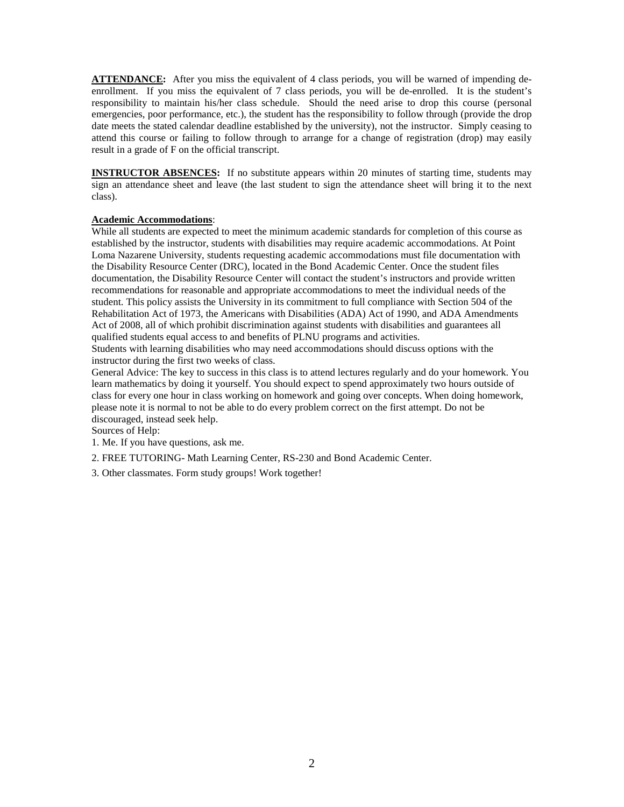**ATTENDANCE:** After you miss the equivalent of 4 class periods, you will be warned of impending deenrollment. If you miss the equivalent of 7 class periods, you will be de-enrolled. It is the student's responsibility to maintain his/her class schedule. Should the need arise to drop this course (personal emergencies, poor performance, etc.), the student has the responsibility to follow through (provide the drop date meets the stated calendar deadline established by the university), not the instructor. Simply ceasing to attend this course or failing to follow through to arrange for a change of registration (drop) may easily result in a grade of F on the official transcript.

**INSTRUCTOR ABSENCES:** If no substitute appears within 20 minutes of starting time, students may sign an attendance sheet and leave (the last student to sign the attendance sheet will bring it to the next class).

#### **Academic Accommodations**:

While all students are expected to meet the minimum academic standards for completion of this course as established by the instructor, students with disabilities may require academic accommodations. At Point Loma Nazarene University, students requesting academic accommodations must file documentation with the Disability Resource Center (DRC), located in the Bond Academic Center. Once the student files documentation, the Disability Resource Center will contact the student's instructors and provide written recommendations for reasonable and appropriate accommodations to meet the individual needs of the student. This policy assists the University in its commitment to full compliance with Section 504 of the Rehabilitation Act of 1973, the Americans with Disabilities (ADA) Act of 1990, and ADA Amendments Act of 2008, all of which prohibit discrimination against students with disabilities and guarantees all qualified students equal access to and benefits of PLNU programs and activities.

Students with learning disabilities who may need accommodations should discuss options with the instructor during the first two weeks of class.

General Advice: The key to success in this class is to attend lectures regularly and do your homework. You learn mathematics by doing it yourself. You should expect to spend approximately two hours outside of class for every one hour in class working on homework and going over concepts. When doing homework, please note it is normal to not be able to do every problem correct on the first attempt. Do not be discouraged, instead seek help.

Sources of Help:

1. Me. If you have questions, ask me.

2. FREE TUTORING- Math Learning Center, RS-230 and Bond Academic Center.

3. Other classmates. Form study groups! Work together!